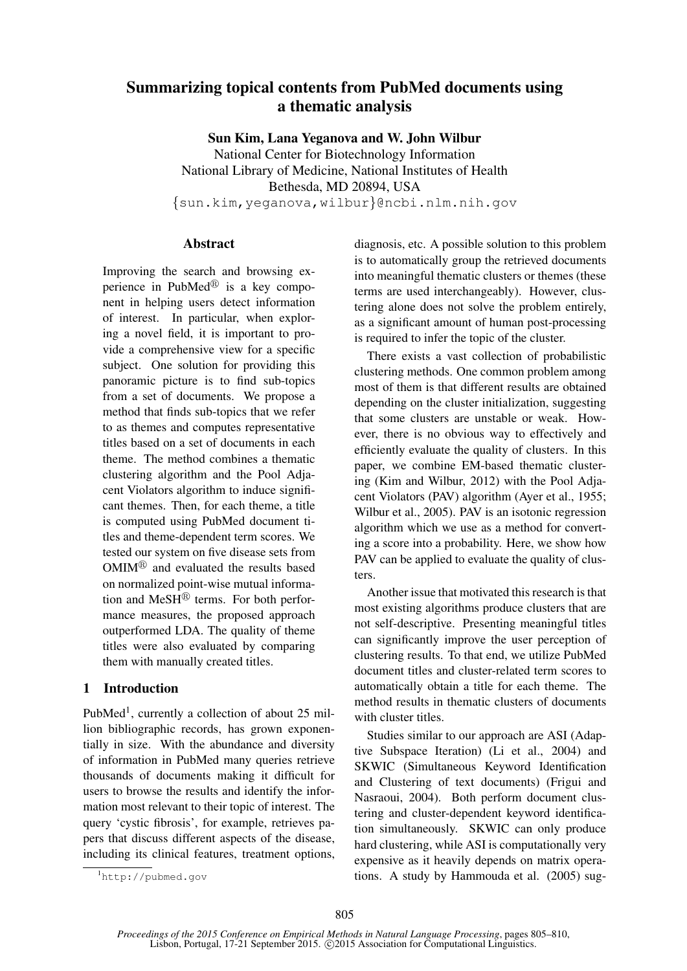# Summarizing topical contents from PubMed documents using a thematic analysis

Sun Kim, Lana Yeganova and W. John Wilbur

National Center for Biotechnology Information National Library of Medicine, National Institutes of Health Bethesda, MD 20894, USA {sun.kim,yeganova,wilbur}@ncbi.nlm.nih.gov

## Abstract

Improving the search and browsing experience in PubMed $^{\circledR}$  is a key component in helping users detect information of interest. In particular, when exploring a novel field, it is important to provide a comprehensive view for a specific subject. One solution for providing this panoramic picture is to find sub-topics from a set of documents. We propose a method that finds sub-topics that we refer to as themes and computes representative titles based on a set of documents in each theme. The method combines a thematic clustering algorithm and the Pool Adjacent Violators algorithm to induce significant themes. Then, for each theme, a title is computed using PubMed document titles and theme-dependent term scores. We tested our system on five disease sets from  $OMIM^{\circledR}$  and evaluated the results based on normalized point-wise mutual information and  $MeSH^{\textcircled{B}}$  terms. For both performance measures, the proposed approach outperformed LDA. The quality of theme titles were also evaluated by comparing them with manually created titles.

## 1 Introduction

PubMed<sup>1</sup>, currently a collection of about 25 million bibliographic records, has grown exponentially in size. With the abundance and diversity of information in PubMed many queries retrieve thousands of documents making it difficult for users to browse the results and identify the information most relevant to their topic of interest. The query 'cystic fibrosis', for example, retrieves papers that discuss different aspects of the disease, including its clinical features, treatment options,

<sup>1</sup>http://pubmed.gov

diagnosis, etc. A possible solution to this problem is to automatically group the retrieved documents into meaningful thematic clusters or themes (these terms are used interchangeably). However, clustering alone does not solve the problem entirely, as a significant amount of human post-processing is required to infer the topic of the cluster.

There exists a vast collection of probabilistic clustering methods. One common problem among most of them is that different results are obtained depending on the cluster initialization, suggesting that some clusters are unstable or weak. However, there is no obvious way to effectively and efficiently evaluate the quality of clusters. In this paper, we combine EM-based thematic clustering (Kim and Wilbur, 2012) with the Pool Adjacent Violators (PAV) algorithm (Ayer et al., 1955; Wilbur et al., 2005). PAV is an isotonic regression algorithm which we use as a method for converting a score into a probability. Here, we show how PAV can be applied to evaluate the quality of clusters.

Another issue that motivated this research is that most existing algorithms produce clusters that are not self-descriptive. Presenting meaningful titles can significantly improve the user perception of clustering results. To that end, we utilize PubMed document titles and cluster-related term scores to automatically obtain a title for each theme. The method results in thematic clusters of documents with cluster titles.

Studies similar to our approach are ASI (Adaptive Subspace Iteration) (Li et al., 2004) and SKWIC (Simultaneous Keyword Identification and Clustering of text documents) (Frigui and Nasraoui, 2004). Both perform document clustering and cluster-dependent keyword identification simultaneously. SKWIC can only produce hard clustering, while ASI is computationally very expensive as it heavily depends on matrix operations. A study by Hammouda et al. (2005) sug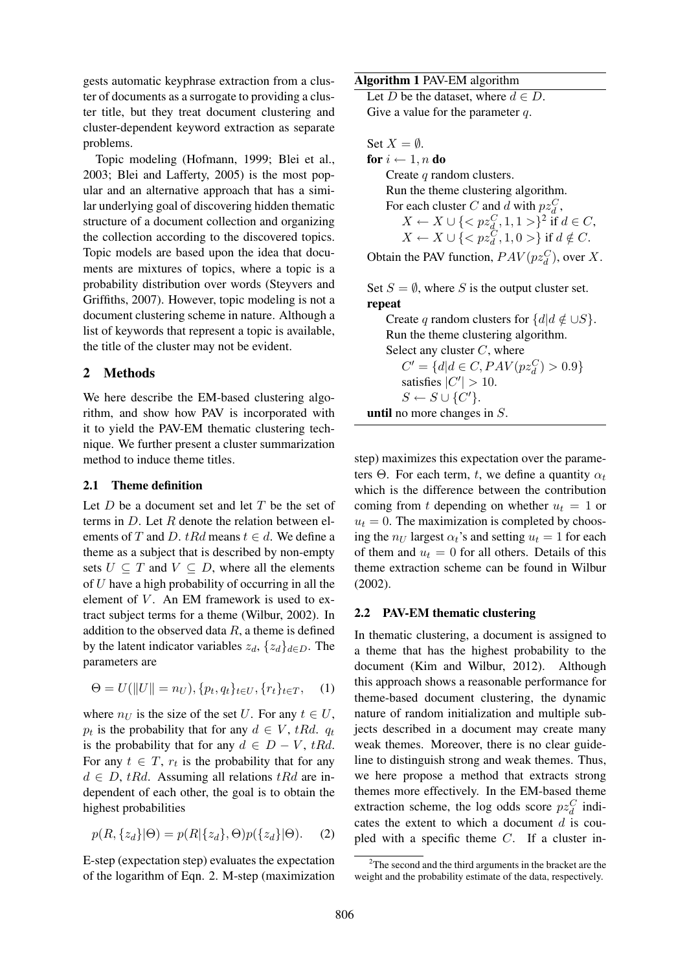gests automatic keyphrase extraction from a cluster of documents as a surrogate to providing a cluster title, but they treat document clustering and cluster-dependent keyword extraction as separate problems.

Topic modeling (Hofmann, 1999; Blei et al., 2003; Blei and Lafferty, 2005) is the most popular and an alternative approach that has a similar underlying goal of discovering hidden thematic structure of a document collection and organizing the collection according to the discovered topics. Topic models are based upon the idea that documents are mixtures of topics, where a topic is a probability distribution over words (Steyvers and Griffiths, 2007). However, topic modeling is not a document clustering scheme in nature. Although a list of keywords that represent a topic is available, the title of the cluster may not be evident.

### 2 Methods

We here describe the EM-based clustering algorithm, and show how PAV is incorporated with it to yield the PAV-EM thematic clustering technique. We further present a cluster summarization method to induce theme titles.

#### 2.1 Theme definition

Let  $D$  be a document set and let  $T$  be the set of terms in  $D$ . Let  $R$  denote the relation between elements of T and D. tRd means  $t \in d$ . We define a theme as a subject that is described by non-empty sets  $U \subseteq T$  and  $V \subseteq D$ , where all the elements of U have a high probability of occurring in all the element of  $V$ . An EM framework is used to extract subject terms for a theme (Wilbur, 2002). In addition to the observed data  $R$ , a theme is defined by the latent indicator variables  $z_d$ ,  $\{z_d\}_{d\in D}$ . The parameters are

$$
\Theta = U(||U|| = n_U), \{p_t, q_t\}_{t \in U}, \{r_t\}_{t \in T}, \quad (1)
$$

where  $n_U$  is the size of the set U. For any  $t \in U$ ,  $p_t$  is the probability that for any  $d \in V$ , tRd.  $q_t$ is the probability that for any  $d \in D - V$ , tRd. For any  $t \in T$ ,  $r_t$  is the probability that for any  $d \in D$ , tRd. Assuming all relations tRd are independent of each other, the goal is to obtain the highest probabilities

$$
p(R, \{z_d\}|\Theta) = p(R|\{z_d\}, \Theta)p(\{z_d\}|\Theta). \tag{2}
$$

E-step (expectation step) evaluates the expectation of the logarithm of Eqn. 2. M-step (maximization

Algorithm 1 PAV-EM algorithm

Let D be the dataset, where  $d \in D$ . Give a value for the parameter  $q$ .

Set  $X = \emptyset$ . for  $i \leftarrow 1, n$  do Create q random clusters. Run the theme clustering algorithm. For each cluster C and d with  $p z_d^C$ ,  $X \leftarrow X \cup \{< p z_{d}^C, 1, 1> \}^2$  if  $d \in C$ ,  $X \leftarrow X \cup \{< p z_d^C, 1, 0> \}$  if  $d \notin C$ .

Obtain the PAV function,  $PAV(pz_d^C)$ , over X.

Set  $S = \emptyset$ , where S is the output cluster set. repeat Create q random clusters for  $\{d | d \notin \cup S\}$ .

Run the theme clustering algorithm. Select any cluster  $C$ , where  $C' = \{d | d \in C, PAV(pz_d^C) > 0.9\}$ satisfies  $|C'| > 10$ .  $S \leftarrow S \cup \{C'\}.$ 

until no more changes in S.

step) maximizes this expectation over the parameters Θ. For each term, t, we define a quantity  $\alpha_t$ which is the difference between the contribution coming from t depending on whether  $u_t = 1$  or  $u_t = 0$ . The maximization is completed by choosing the  $n_U$  largest  $\alpha_t$ 's and setting  $u_t = 1$  for each of them and  $u_t = 0$  for all others. Details of this theme extraction scheme can be found in Wilbur (2002).

#### 2.2 PAV-EM thematic clustering

In thematic clustering, a document is assigned to a theme that has the highest probability to the document (Kim and Wilbur, 2012). Although this approach shows a reasonable performance for theme-based document clustering, the dynamic nature of random initialization and multiple subjects described in a document may create many weak themes. Moreover, there is no clear guideline to distinguish strong and weak themes. Thus, we here propose a method that extracts strong themes more effectively. In the EM-based theme extraction scheme, the log odds score  $pz_d^C$  indicates the extent to which a document  $d$  is coupled with a specific theme  $C$ . If a cluster in-

 $2$ The second and the third arguments in the bracket are the weight and the probability estimate of the data, respectively.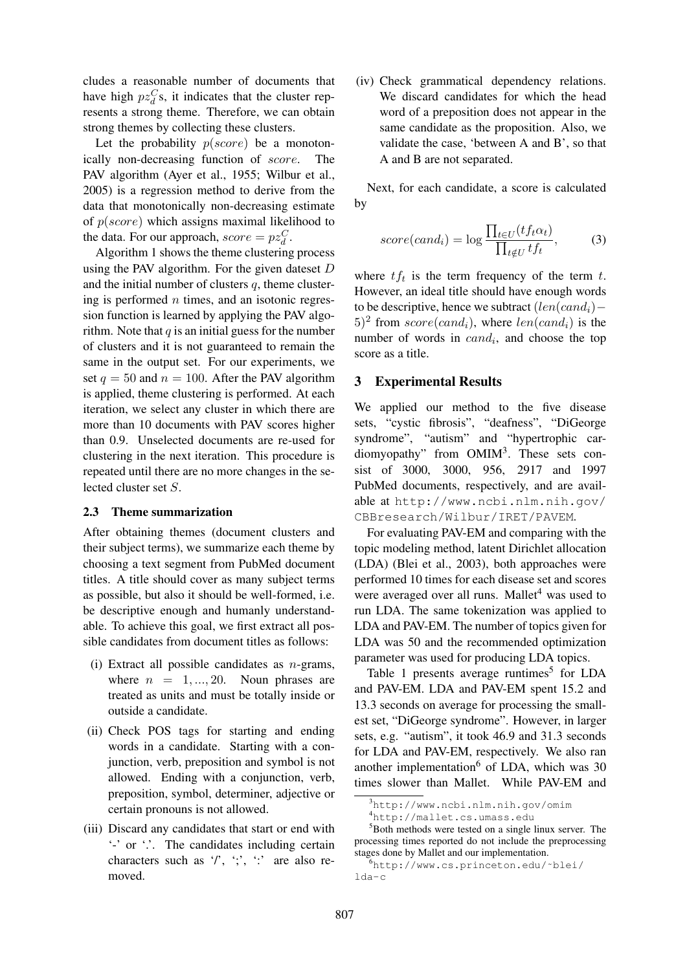cludes a reasonable number of documents that have high  $pz_d^C$ s, it indicates that the cluster represents a strong theme. Therefore, we can obtain strong themes by collecting these clusters.

Let the probability  $p(score)$  be a monotonically non-decreasing function of score. The PAV algorithm (Ayer et al., 1955; Wilbur et al., 2005) is a regression method to derive from the data that monotonically non-decreasing estimate of  $p(score)$  which assigns maximal likelihood to the data. For our approach,  $score = pz_d^C$ .

Algorithm 1 shows the theme clustering process using the PAV algorithm. For the given dateset D and the initial number of clusters  $q$ , theme clustering is performed  $n$  times, and an isotonic regression function is learned by applying the PAV algorithm. Note that  $q$  is an initial guess for the number of clusters and it is not guaranteed to remain the same in the output set. For our experiments, we set  $q = 50$  and  $n = 100$ . After the PAV algorithm is applied, theme clustering is performed. At each iteration, we select any cluster in which there are more than 10 documents with PAV scores higher than 0.9. Unselected documents are re-used for clustering in the next iteration. This procedure is repeated until there are no more changes in the selected cluster set S.

#### 2.3 Theme summarization

After obtaining themes (document clusters and their subject terms), we summarize each theme by choosing a text segment from PubMed document titles. A title should cover as many subject terms as possible, but also it should be well-formed, i.e. be descriptive enough and humanly understandable. To achieve this goal, we first extract all possible candidates from document titles as follows:

- (i) Extract all possible candidates as  $n$ -grams, where  $n = 1, ..., 20$ . Noun phrases are treated as units and must be totally inside or outside a candidate.
- (ii) Check POS tags for starting and ending words in a candidate. Starting with a conjunction, verb, preposition and symbol is not allowed. Ending with a conjunction, verb, preposition, symbol, determiner, adjective or certain pronouns is not allowed.
- (iii) Discard any candidates that start or end with '-' or '.'. The candidates including certain characters such as  $\prime$ ,  $\prime$ ;  $\prime$ ;  $\prime$  are also removed.

(iv) Check grammatical dependency relations. We discard candidates for which the head word of a preposition does not appear in the same candidate as the proposition. Also, we validate the case, 'between A and B', so that A and B are not separated.

Next, for each candidate, a score is calculated by

$$
score(cand_i) = \log \frac{\prod_{t \in U} (tf_t \alpha_t)}{\prod_{t \notin U} tf_t},\tag{3}
$$

where  $tf_t$  is the term frequency of the term t. However, an ideal title should have enough words to be descriptive, hence we subtract  $(len(cand<sub>i</sub>)$  –  $(5)^2$  from  $score(cand_i)$ , where  $len(cand_i)$  is the number of words in  $cand_i$ , and choose the top score as a title.

#### 3 Experimental Results

We applied our method to the five disease sets, "cystic fibrosis", "deafness", "DiGeorge syndrome", "autism" and "hypertrophic cardiomyopathy" from OMIM<sup>3</sup>. These sets consist of 3000, 3000, 956, 2917 and 1997 PubMed documents, respectively, and are available at http://www.ncbi.nlm.nih.gov/ CBBresearch/Wilbur/IRET/PAVEM.

For evaluating PAV-EM and comparing with the topic modeling method, latent Dirichlet allocation (LDA) (Blei et al., 2003), both approaches were performed 10 times for each disease set and scores were averaged over all runs. Mallet<sup>4</sup> was used to run LDA. The same tokenization was applied to LDA and PAV-EM. The number of topics given for LDA was 50 and the recommended optimization parameter was used for producing LDA topics.

Table 1 presents average runtimes<sup>5</sup> for LDA and PAV-EM. LDA and PAV-EM spent 15.2 and 13.3 seconds on average for processing the smallest set, "DiGeorge syndrome". However, in larger sets, e.g. "autism", it took 46.9 and 31.3 seconds for LDA and PAV-EM, respectively. We also ran another implementation<sup>6</sup> of LDA, which was  $30$ times slower than Mallet. While PAV-EM and

<sup>3</sup>http://www.ncbi.nlm.nih.gov/omim

<sup>4</sup>http://mallet.cs.umass.edu

<sup>5</sup>Both methods were tested on a single linux server. The processing times reported do not include the preprocessing stages done by Mallet and our implementation.

<sup>6</sup>http://www.cs.princeton.edu/˜blei/ lda-c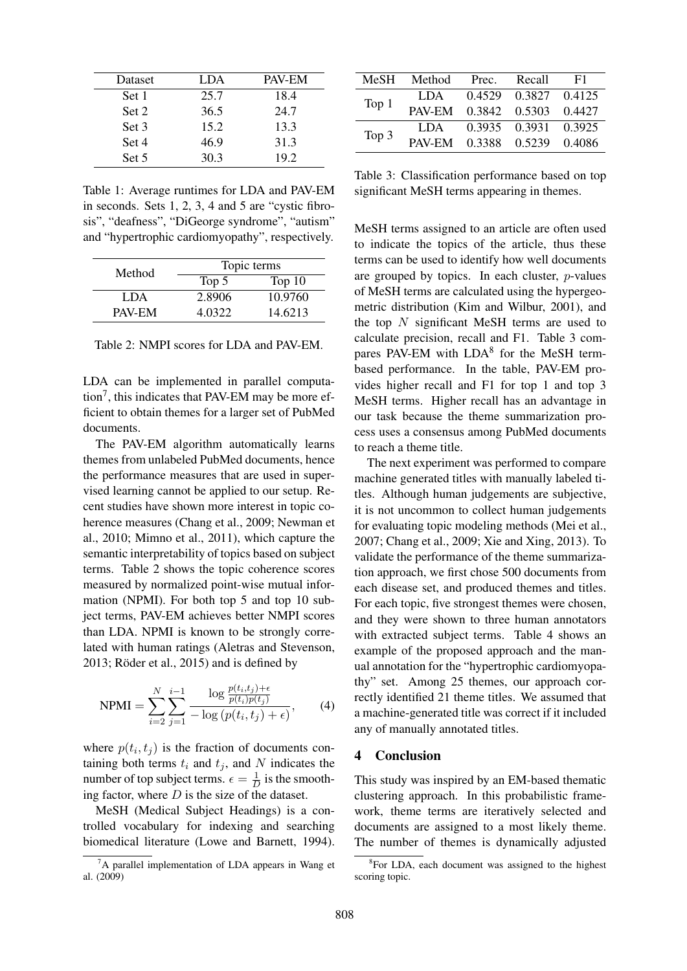| Dataset | LDA  | PAV-EM |
|---------|------|--------|
| Set 1   | 25.7 | 18.4   |
| Set 2   | 36.5 | 24.7   |
| Set 3   | 15.2 | 13.3   |
| Set 4   | 46.9 | 31.3   |
| Set 5   | 30.3 | 19.2   |

Table 1: Average runtimes for LDA and PAV-EM in seconds. Sets 1, 2, 3, 4 and 5 are "cystic fibrosis", "deafness", "DiGeorge syndrome", "autism" and "hypertrophic cardiomyopathy", respectively.

| Method | Topic terms |          |  |
|--------|-------------|----------|--|
|        | Top 5       | Top $10$ |  |
| LDA.   | 2.8906      | 10.9760  |  |
| PAV-EM | 4.0322      | 14.6213  |  |

Table 2: NMPI scores for LDA and PAV-EM.

LDA can be implemented in parallel computa- $\text{tion}^7$ , this indicates that PAV-EM may be more efficient to obtain themes for a larger set of PubMed documents.

The PAV-EM algorithm automatically learns themes from unlabeled PubMed documents, hence the performance measures that are used in supervised learning cannot be applied to our setup. Recent studies have shown more interest in topic coherence measures (Chang et al., 2009; Newman et al., 2010; Mimno et al., 2011), which capture the semantic interpretability of topics based on subject terms. Table 2 shows the topic coherence scores measured by normalized point-wise mutual information (NPMI). For both top 5 and top 10 subject terms, PAV-EM achieves better NMPI scores than LDA. NPMI is known to be strongly correlated with human ratings (Aletras and Stevenson, 2013; Röder et al.,  $2015$ ) and is defined by

NPMI = 
$$
\sum_{i=2}^{N} \sum_{j=1}^{i-1} \frac{\log \frac{p(t_i, t_j) + \epsilon}{p(t_i)p(t_j)}}{-\log (p(t_i, t_j) + \epsilon)},
$$
 (4)

where  $p(t_i, t_j)$  is the fraction of documents containing both terms  $t_i$  and  $t_j$ , and N indicates the number of top subject terms.  $\epsilon = \frac{1}{L}$  $\frac{1}{D}$  is the smoothing factor, where  $D$  is the size of the dataset.

MeSH (Medical Subject Headings) is a controlled vocabulary for indexing and searching biomedical literature (Lowe and Barnett, 1994).

| MeSH    | Method | Prec.  | Recall        | F1     |
|---------|--------|--------|---------------|--------|
| Top $1$ | LDA.   | 0.4529 | 0.3827        | 0.4125 |
|         | PAV-EM | 0.3842 | 0.5303        | 0.4427 |
| Top 3   | LDA.   |        | 0.3935 0.3931 | 0.3925 |
|         | PAV-EM | 0.3388 | 0.5239        | 0.4086 |

Table 3: Classification performance based on top significant MeSH terms appearing in themes.

MeSH terms assigned to an article are often used to indicate the topics of the article, thus these terms can be used to identify how well documents are grouped by topics. In each cluster, p-values of MeSH terms are calculated using the hypergeometric distribution (Kim and Wilbur, 2001), and the top  $N$  significant MeSH terms are used to calculate precision, recall and F1. Table 3 compares PAV-EM with LDA<sup>8</sup> for the MeSH termbased performance. In the table, PAV-EM provides higher recall and F1 for top 1 and top 3 MeSH terms. Higher recall has an advantage in our task because the theme summarization process uses a consensus among PubMed documents to reach a theme title.

The next experiment was performed to compare machine generated titles with manually labeled titles. Although human judgements are subjective, it is not uncommon to collect human judgements for evaluating topic modeling methods (Mei et al., 2007; Chang et al., 2009; Xie and Xing, 2013). To validate the performance of the theme summarization approach, we first chose 500 documents from each disease set, and produced themes and titles. For each topic, five strongest themes were chosen, and they were shown to three human annotators with extracted subject terms. Table 4 shows an example of the proposed approach and the manual annotation for the "hypertrophic cardiomyopathy" set. Among 25 themes, our approach correctly identified 21 theme titles. We assumed that a machine-generated title was correct if it included any of manually annotated titles.

## 4 Conclusion

This study was inspired by an EM-based thematic clustering approach. In this probabilistic framework, theme terms are iteratively selected and documents are assigned to a most likely theme. The number of themes is dynamically adjusted

 ${}^{7}$ A parallel implementation of LDA appears in Wang et al. (2009)

<sup>&</sup>lt;sup>8</sup>For LDA, each document was assigned to the highest scoring topic.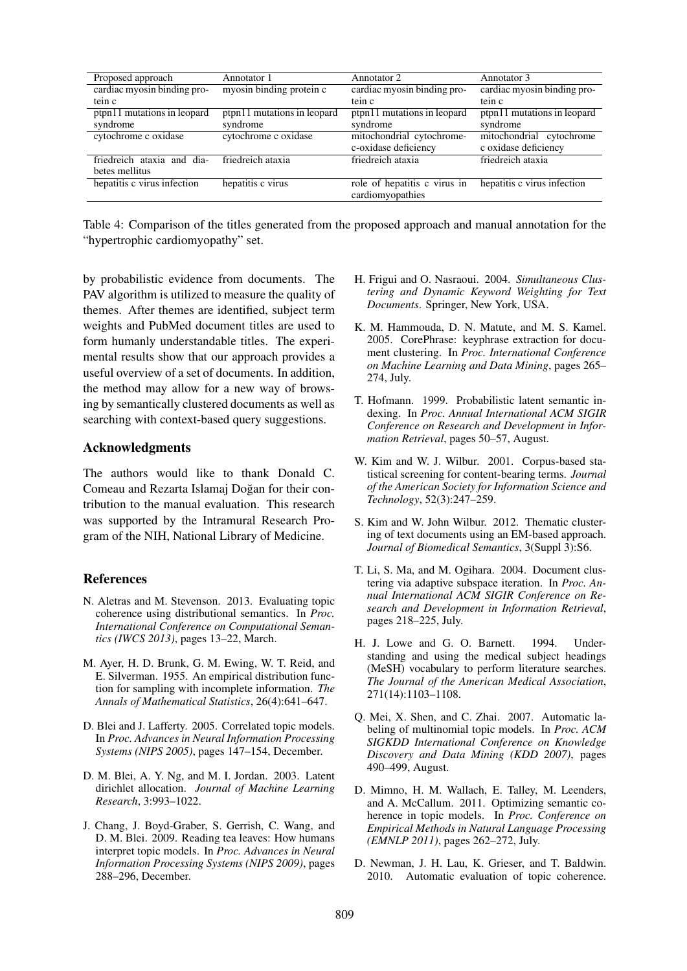| Proposed approach           | Annotator 1                 | Annotator 2                  | Annotator 3                 |
|-----------------------------|-----------------------------|------------------------------|-----------------------------|
| cardiac myosin binding pro- | myosin binding protein c    | cardiac myosin binding pro-  | cardiac myosin binding pro- |
| tein c                      |                             | tein c                       | tein c                      |
| ptpn11 mutations in leopard | ptpn11 mutations in leopard | ptpn11 mutations in leopard  | ptpn11 mutations in leopard |
| syndrome                    | syndrome                    | syndrome                     | syndrome                    |
| cytochrome c oxidase        | cytochrome c oxidase        | mitochondrial cytochrome-    | mitochondrial cytochrome    |
|                             |                             | c-oxidase deficiency         | c oxidase deficiency        |
| friedreich ataxia and dia-  | friedreich ataxia           | friedreich ataxia            | friedreich ataxia           |
| betes mellitus              |                             |                              |                             |
| hepatitis c virus infection | hepatitis c virus           | role of hepatitis c virus in | hepatitis c virus infection |
|                             |                             | cardiomyopathies             |                             |

Table 4: Comparison of the titles generated from the proposed approach and manual annotation for the "hypertrophic cardiomyopathy" set.

by probabilistic evidence from documents. The PAV algorithm is utilized to measure the quality of themes. After themes are identified, subject term weights and PubMed document titles are used to form humanly understandable titles. The experimental results show that our approach provides a useful overview of a set of documents. In addition, the method may allow for a new way of browsing by semantically clustered documents as well as searching with context-based query suggestions.

## Acknowledgments

The authors would like to thank Donald C. Comeau and Rezarta Islamaj Doğan for their contribution to the manual evaluation. This research was supported by the Intramural Research Program of the NIH, National Library of Medicine.

#### References

- N. Aletras and M. Stevenson. 2013. Evaluating topic coherence using distributional semantics. In *Proc. International Conference on Computational Semantics (IWCS 2013)*, pages 13–22, March.
- M. Ayer, H. D. Brunk, G. M. Ewing, W. T. Reid, and E. Silverman. 1955. An empirical distribution function for sampling with incomplete information. *The Annals of Mathematical Statistics*, 26(4):641–647.
- D. Blei and J. Lafferty. 2005. Correlated topic models. In *Proc. Advances in Neural Information Processing Systems (NIPS 2005)*, pages 147–154, December.
- D. M. Blei, A. Y. Ng, and M. I. Jordan. 2003. Latent dirichlet allocation. *Journal of Machine Learning Research*, 3:993–1022.
- J. Chang, J. Boyd-Graber, S. Gerrish, C. Wang, and D. M. Blei. 2009. Reading tea leaves: How humans interpret topic models. In *Proc. Advances in Neural Information Processing Systems (NIPS 2009)*, pages 288–296, December.
- H. Frigui and O. Nasraoui. 2004. *Simultaneous Clustering and Dynamic Keyword Weighting for Text Documents*. Springer, New York, USA.
- K. M. Hammouda, D. N. Matute, and M. S. Kamel. 2005. CorePhrase: keyphrase extraction for document clustering. In *Proc. International Conference on Machine Learning and Data Mining*, pages 265– 274, July.
- T. Hofmann. 1999. Probabilistic latent semantic indexing. In *Proc. Annual International ACM SIGIR Conference on Research and Development in Information Retrieval*, pages 50–57, August.
- W. Kim and W. J. Wilbur. 2001. Corpus-based statistical screening for content-bearing terms. *Journal of the American Society for Information Science and Technology*, 52(3):247–259.
- S. Kim and W. John Wilbur. 2012. Thematic clustering of text documents using an EM-based approach. *Journal of Biomedical Semantics*, 3(Suppl 3):S6.
- T. Li, S. Ma, and M. Ogihara. 2004. Document clustering via adaptive subspace iteration. In *Proc. Annual International ACM SIGIR Conference on Research and Development in Information Retrieval*, pages 218–225, July.
- H. J. Lowe and G. O. Barnett. 1994. Understanding and using the medical subject headings (MeSH) vocabulary to perform literature searches. *The Journal of the American Medical Association*, 271(14):1103–1108.
- Q. Mei, X. Shen, and C. Zhai. 2007. Automatic labeling of multinomial topic models. In *Proc. ACM SIGKDD International Conference on Knowledge Discovery and Data Mining (KDD 2007)*, pages 490–499, August.
- D. Mimno, H. M. Wallach, E. Talley, M. Leenders, and A. McCallum. 2011. Optimizing semantic coherence in topic models. In *Proc. Conference on Empirical Methods in Natural Language Processing (EMNLP 2011)*, pages 262–272, July.
- D. Newman, J. H. Lau, K. Grieser, and T. Baldwin. 2010. Automatic evaluation of topic coherence.